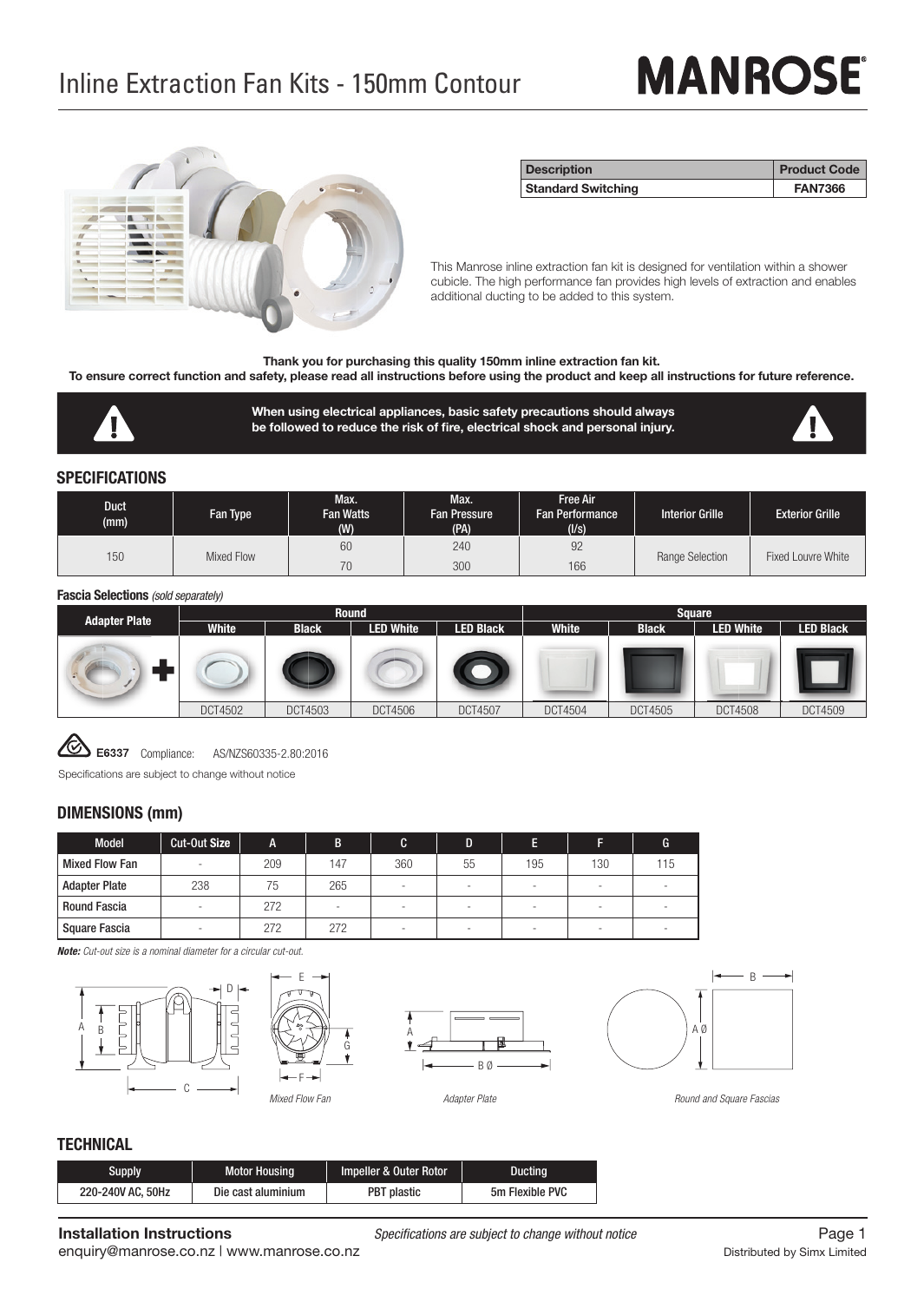# **MANROSE**



| <b>Description</b>        | <b>Product Code</b> |
|---------------------------|---------------------|
| <b>Standard Switching</b> | <b>FAN7366</b>      |

This Manrose inline extraction fan kit is designed for ventilation within a shower cubicle. The high performance fan provides high levels of extraction and enables additional ducting to be added to this system.

**Thank you for purchasing this quality 150mm inline extraction fan kit.**

**To ensure correct function and safety, please read all instructions before using the product and keep all instructions for future reference.** 

**When using electrical appliances, basic safety precautions should always**  be followed to reduce the risk of fire, electrical shock and personal injury.



#### **SPECIFICATIONS**

| Duct<br>(mm) | Fan Type   | Max.<br>Fan Watts<br>(W) | Max.<br><b>Fan Pressure</b><br>(PA) | Free Air<br><b>Fan Performance</b><br>(Us) | <b>Interior Grille</b> | <b>Exterior Grille</b> |
|--------------|------------|--------------------------|-------------------------------------|--------------------------------------------|------------------------|------------------------|
| 150          | Mixed Flow | 60                       | 240                                 | 92                                         | Range Selection        | Fixed Louvre White     |
|              |            | 70                       | 300                                 | 166                                        |                        |                        |

#### **Fascia Selections** *(sold separately)*

|                      |                |              | Round            |                  |                |              | Square           |                  |
|----------------------|----------------|--------------|------------------|------------------|----------------|--------------|------------------|------------------|
| <b>Adapter Plate</b> | <b>White</b>   | <b>Black</b> | <b>LED White</b> | <b>LED Black</b> | White          | <b>Black</b> | <b>LED White</b> | <b>LED Black</b> |
|                      |                |              |                  |                  |                |              |                  |                  |
|                      | <b>DCT4502</b> | DCT4503      | <b>DCT4506</b>   | <b>DCT4507</b>   | <b>DCT4504</b> | DC14505      | <b>DCT4508</b>   | DC14509          |

Compliance: AS/NZS60335-2.80:2016

Specifications are subject to change without notice

#### **DIMENSIONS (mm)**

| Model                 | Cut-Out Size | A   | R   | C   | D  |     |     |     |
|-----------------------|--------------|-----|-----|-----|----|-----|-----|-----|
| <b>Mixed Flow Fan</b> |              | 209 | 147 | 360 | 55 | 195 | 130 | 115 |
| <b>Adapter Plate</b>  | 238          | 75  | 265 |     |    |     |     |     |
| <b>Round Fascia</b>   |              | 272 |     |     |    |     |     |     |
| Square Fascia         |              | 272 | 272 |     |    |     |     |     |

*Note: Cut-out size is a nominal diameter for a circular cut-out.*











*Round and Square Fascias*

# **TECHNICAL**

| Supply            | <b>Motor Housing</b> | Impeller & Outer Rotor | <b>Ducting</b>  |
|-------------------|----------------------|------------------------|-----------------|
| 220-240V AC, 50Hz | Die cast aluminium   | <b>PBT</b> plastic     | 5m Flexible PVC |

**Installation Instructions**<br> **Page 1**<br> **Propositional propositions are subject to change without notice**<br> **Propositional propositions**  $\frac{1}{2}$ 

enquiry@manrose.co.nz | www.manrose.co.nz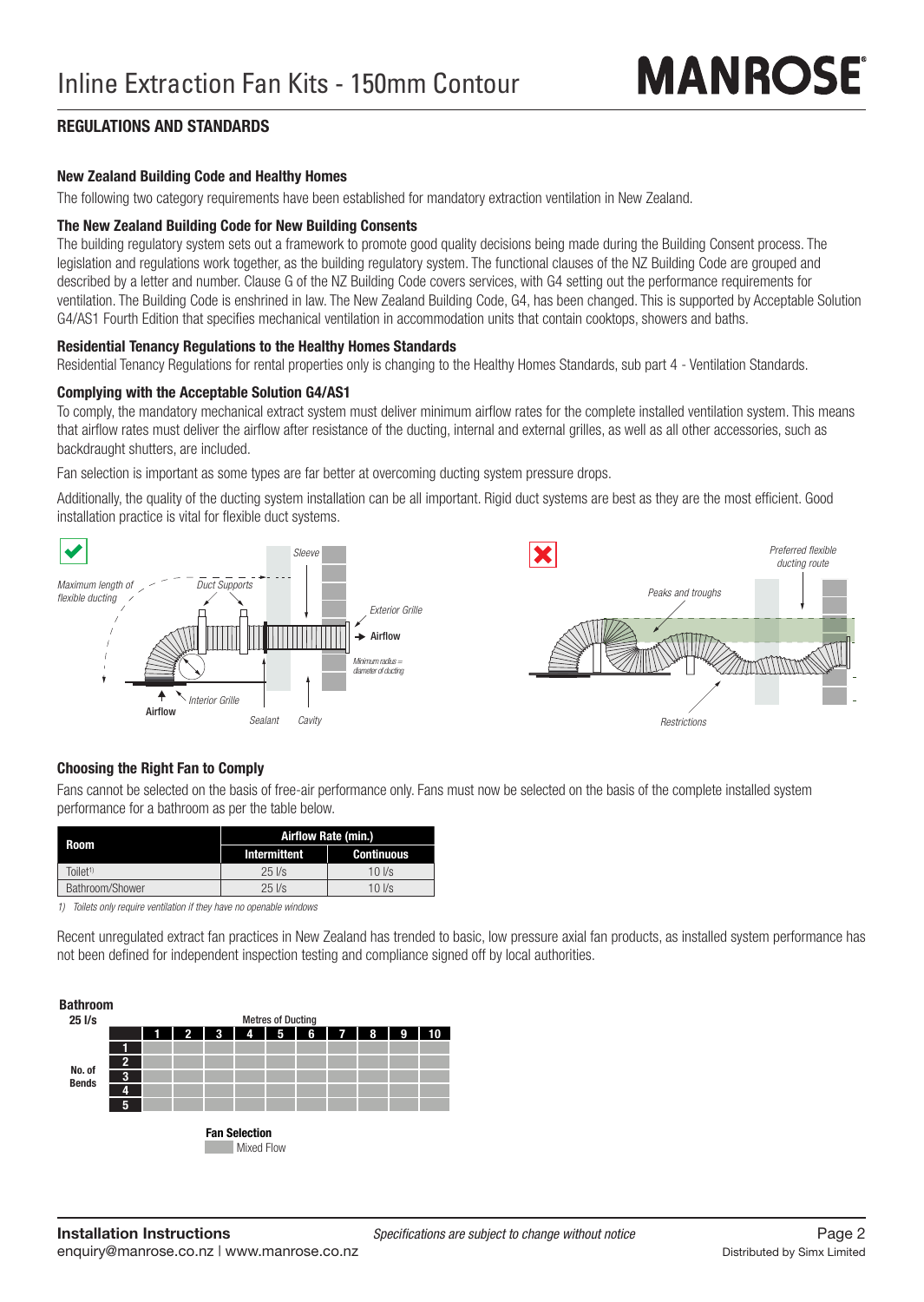# **REGULATIONS AND STANDARDS**

### **New Zealand Building Code and Healthy Homes**

The following two category requirements have been established for mandatory extraction ventilation in New Zealand.

### **The New Zealand Building Code for New Building Consents**

The building regulatory system sets out a framework to promote good quality decisions being made during the Building Consent process. The legislation and regulations work together, as the building regulatory system. The functional clauses of the NZ Building Code are grouped and described by a letter and number. Clause G of the NZ Building Code covers services, with G4 setting out the performance requirements for ventilation. The Building Code is enshrined in law. The New Zealand Building Code, G4, has been changed. This is supported by Acceptable Solution G4/AS1 Fourth Edition that specifies mechanical ventilation in accommodation units that contain cooktops, showers and baths.

# **Residential Tenancy Regulations to the Healthy Homes Standards**

Residential Tenancy Regulations for rental properties only is changing to the Healthy Homes Standards, sub part 4 - Ventilation Standards.

### **Complying with the Acceptable Solution G4/AS1**

To comply, the mandatory mechanical extract system must deliver minimum airflow rates for the complete installed ventilation system. This means that airflow rates must deliver the airflow after resistance of the ducting, internal and external grilles, as well as all other accessories, such as backdraught shutters, are included.

Fan selection is important as some types are far better at overcoming ducting system pressure drops.

Additionally, the quality of the ducting system installation can be all important. Rigid duct systems are best as they are the most efficient. Good installation practice is vital for flexible duct systems.



# **Choosing the Right Fan to Comply**

Fans cannot be selected on the basis of free-air performance only. Fans must now be selected on the basis of the complete installed system performance for a bathroom as per the table below.

| Room                | Airflow Rate (min.) |                  |  |  |
|---------------------|---------------------|------------------|--|--|
|                     | Intermittent        | Continuous       |  |  |
| Toilet <sup>1</sup> | $25$ $1/s$          | $10$ $\text{Vs}$ |  |  |
| Bathroom/Shower     | $25$ $1/s$          | $10$ $\text{Vs}$ |  |  |

*1) Toilets only require ventilation if they have no openable windows*

Recent unregulated extract fan practices in New Zealand has trended to basic, low pressure axial fan products, as installed system performance has not been defined for independent inspection testing and compliance signed off by local authorities.

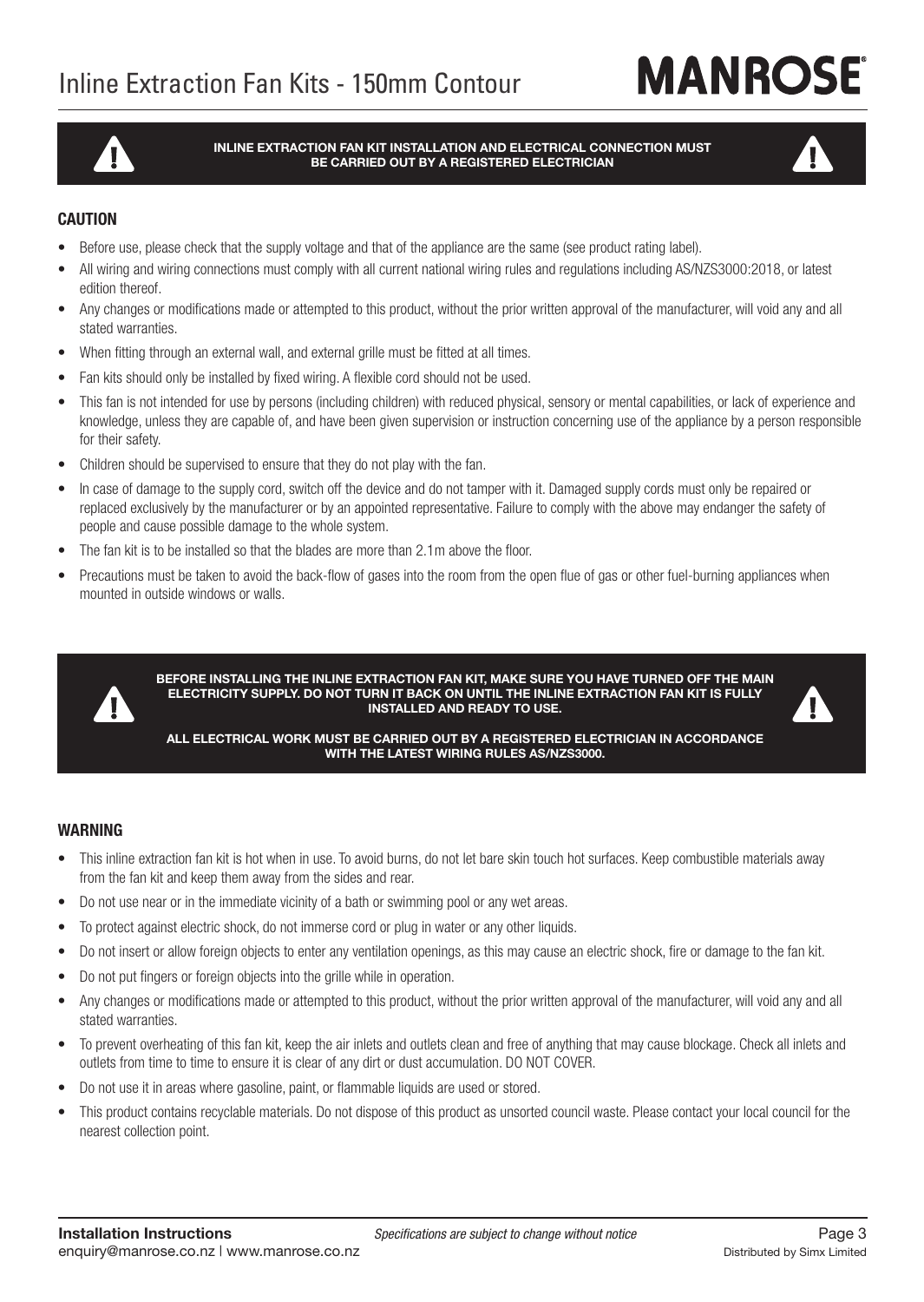# **MANROSE**

**INLINE EXTRACTION FAN KIT INSTALLATION AND ELECTRICAL CONNECTION MUST BE CARRIED OUT BY A REGISTERED ELECTRICIAN**



# **CAUTION**

- Before use, please check that the supply voltage and that of the appliance are the same (see product rating label).
- All wiring and wiring connections must comply with all current national wiring rules and regulations including AS/NZS3000:2018, or latest edition thereof.
- Any changes or modifications made or attempted to this product, without the prior written approval of the manufacturer, will void any and all stated warranties.
- When fitting through an external wall, and external grille must be fitted at all times.
- Fan kits should only be installed by fixed wiring. A flexible cord should not be used.
- This fan is not intended for use by persons (including children) with reduced physical, sensory or mental capabilities, or lack of experience and knowledge, unless they are capable of, and have been given supervision or instruction concerning use of the appliance by a person responsible for their safety.
- Children should be supervised to ensure that they do not play with the fan.
- In case of damage to the supply cord, switch off the device and do not tamper with it. Damaged supply cords must only be repaired or replaced exclusively by the manufacturer or by an appointed representative. Failure to comply with the above may endanger the safety of people and cause possible damage to the whole system.
- The fan kit is to be installed so that the blades are more than 2.1m above the floor.
- Precautions must be taken to avoid the back-flow of gases into the room from the open flue of gas or other fuel-burning appliances when mounted in outside windows or walls.



**BEFORE INSTALLING THE INLINE EXTRACTION FAN KIT, MAKE SURE YOU HAVE TURNED OFF THE MAIN ELECTRICITY SUPPLY. DO NOT TURN IT BACK ON UNTIL THE INLINE EXTRACTION FAN KIT IS FULLY INSTALLED AND READY TO USE.**



**ALL ELECTRICAL WORK MUST BE CARRIED OUT BY A REGISTERED ELECTRICIAN IN ACCORDANCE WITH THE LATEST WIRING RULES AS/NZS3000.**

### **WARNING**

- This inline extraction fan kit is hot when in use. To avoid burns, do not let bare skin touch hot surfaces. Keep combustible materials away from the fan kit and keep them away from the sides and rear.
- Do not use near or in the immediate vicinity of a bath or swimming pool or any wet areas.
- To protect against electric shock, do not immerse cord or plug in water or any other liquids.
- Do not insert or allow foreign objects to enter any ventilation openings, as this may cause an electric shock, fire or damage to the fan kit.
- Do not put fingers or foreign objects into the grille while in operation.
- Any changes or modifications made or attempted to this product, without the prior written approval of the manufacturer, will void any and all stated warranties.
- To prevent overheating of this fan kit, keep the air inlets and outlets clean and free of anything that may cause blockage. Check all inlets and outlets from time to time to ensure it is clear of any dirt or dust accumulation. DO NOT COVER.
- Do not use it in areas where gasoline, paint, or flammable liquids are used or stored.
- This product contains recyclable materials. Do not dispose of this product as unsorted council waste. Please contact your local council for the nearest collection point.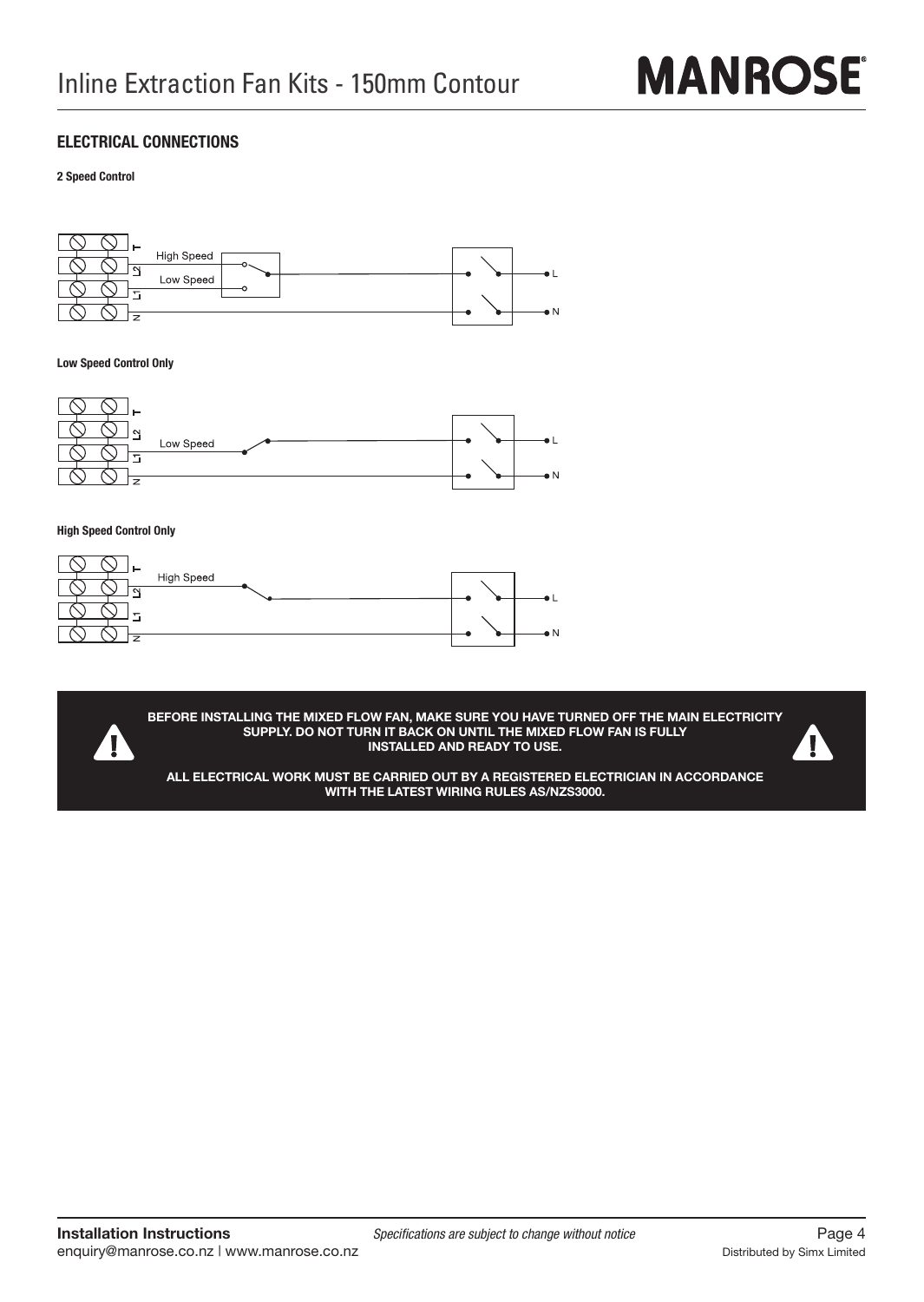

# **ELECTRICAL CONNECTIONS**

**2 Speed Control**



**Low Speed Control Only**



**High Speed Control Only**

A



**BEFORE INSTALLING THE MIXED FLOW FAN, MAKE SURE YOU HAVE TURNED OFF THE MAIN ELECTRICITY SUPPLY. DO NOT TURN IT BACK ON UNTIL THE MIXED FLOW FAN IS FULLY INSTALLED AND READY TO USE.**



**ALL ELECTRICAL WORK MUST BE CARRIED OUT BY A REGISTERED ELECTRICIAN IN ACCORDANCE WITH THE LATEST WIRING RULES AS/NZS3000.**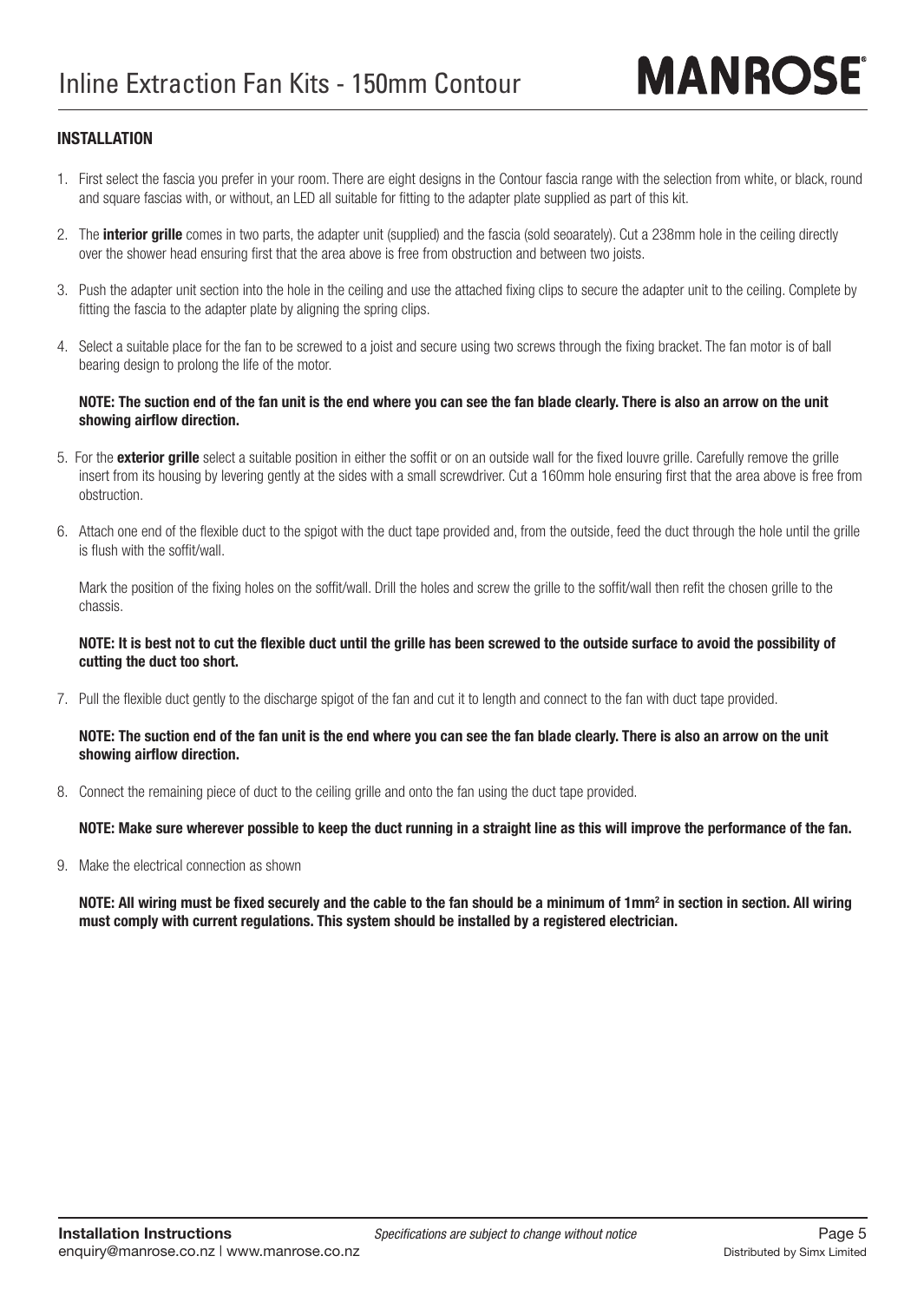# **INSTALLATION**

- 1. First select the fascia you prefer in your room. There are eight designs in the Contour fascia range with the selection from white, or black, round and square fascias with, or without, an LED all suitable for fitting to the adapter plate supplied as part of this kit.
- 2. The **interior grille** comes in two parts, the adapter unit (supplied) and the fascia (sold seoarately). Cut a 238mm hole in the ceiling directly over the shower head ensuring first that the area above is free from obstruction and between two joists.
- 3. Push the adapter unit section into the hole in the ceiling and use the attached fixing clips to secure the adapter unit to the ceiling. Complete by fitting the fascia to the adapter plate by aligning the spring clips.
- 4. Select a suitable place for the fan to be screwed to a joist and secure using two screws through the fixing bracket. The fan motor is of ball bearing design to prolong the life of the motor.

#### **NOTE: The suction end of the fan unit is the end where you can see the fan blade clearly. There is also an arrow on the unit**  showing airflow direction.

- 5. For the **exterior grille** select a suitable position in either the soffit or on an outside wall for the fixed louvre grille. Carefully remove the grille insert from its housing by levering gently at the sides with a small screwdriver. Cut a 160mm hole ensuring first that the area above is free from obstruction.
- 6. Attach one end of the flexible duct to the spigot with the duct tape provided and, from the outside, feed the duct through the hole until the grille is flush with the soffit/wall.

Mark the position of the fixing holes on the soffit/wall. Drill the holes and screw the grille to the soffit/wall then refit the chosen grille to the chassis.

### NOTE: It is best not to cut the flexible duct until the grille has been screwed to the outside surface to avoid the possibility of  **cutting the duct too short.**

7. Pull the flexible duct gently to the discharge spigot of the fan and cut it to length and connect to the fan with duct tape provided.

#### **NOTE: The suction end of the fan unit is the end where you can see the fan blade clearly. There is also an arrow on the unit**  showing airflow direction.

8. Connect the remaining piece of duct to the ceiling grille and onto the fan using the duct tape provided.

## **NOTE: Make sure wherever possible to keep the duct running in a straight line as this will improve the performance of the fan.**

9. Make the electrical connection as shown

<code>NOTE: All</code> wiring must be fixed securely and the cable to the fan should be a minimum of 1mm² in section in section. All wiring  **must comply with current regulations. This system should be installed by a registered electrician.**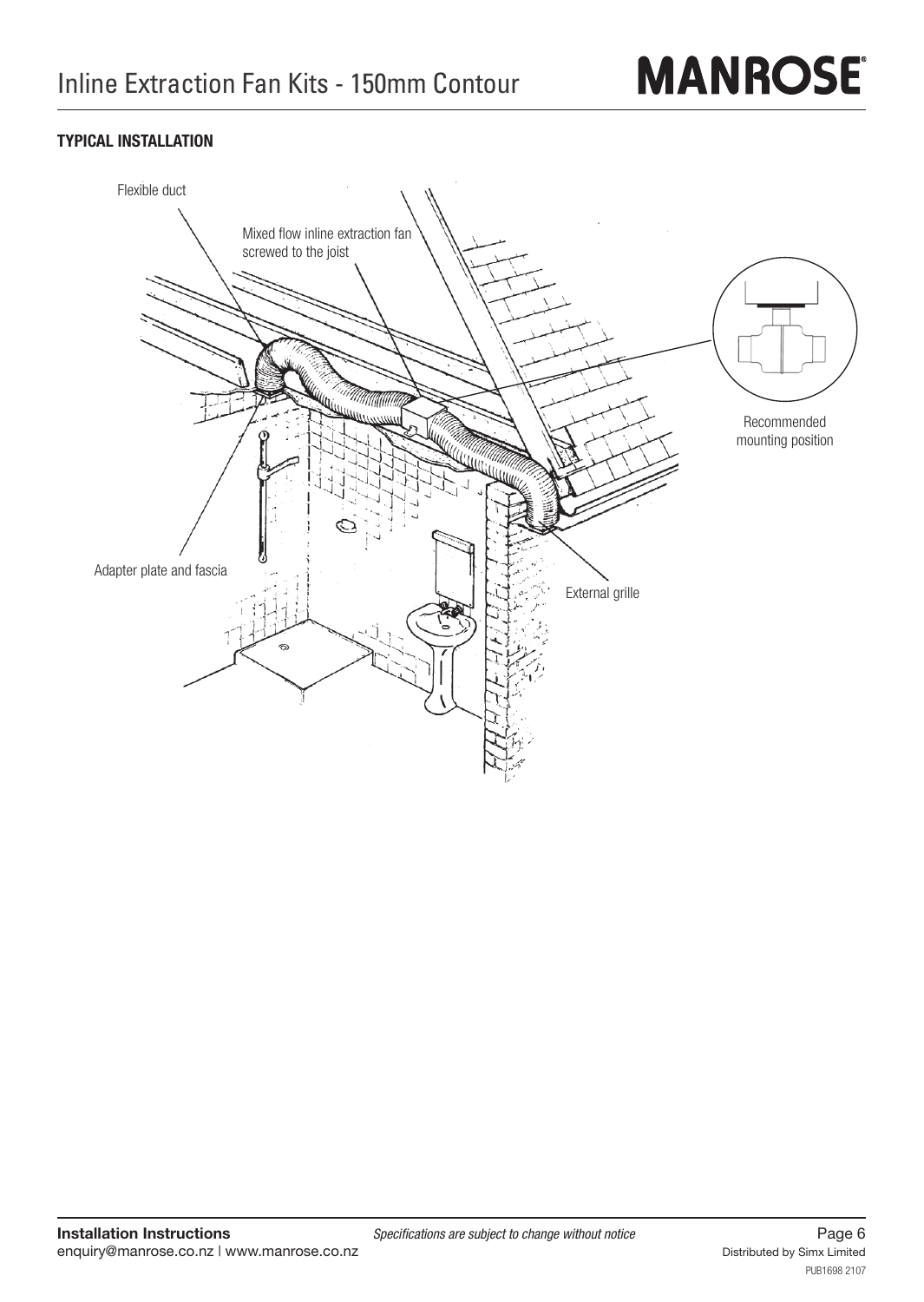# **MANROSE**

# **TYPICAL INSTALLATION**